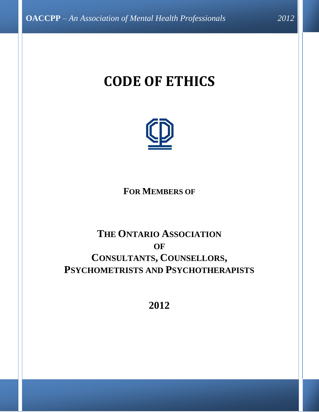# **CODE OF ETHICS**



**FOR MEMBERS OF**

## **THE ONTARIO ASSOCIATION OF CONSULTANTS, COUNSELLORS, PSYCHOMETRISTS AND PSYCHOTHERAPISTS**

**2012**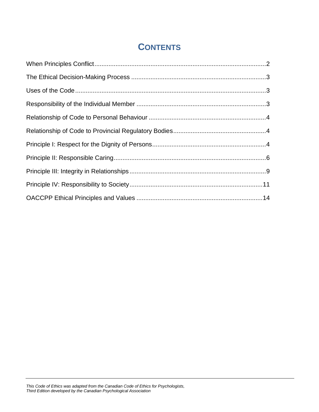### **CONTENTS**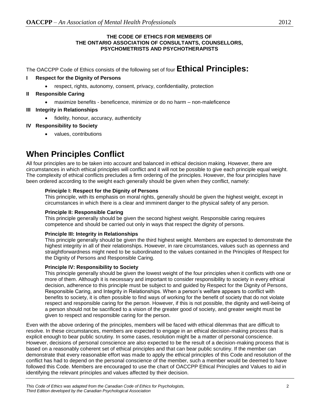#### **THE CODE OF ETHICS FOR MEMBERS OF THE ONTARIO ASSOCIATION OF CONSULTANTS, COUNSELLORS, PSYCHOMETRISTS AND PSYCHOTHERAPISTS**

The OACCPP Code of Ethics consists of the following set of four **Ethical Principles:**

#### **I Respect for the Dignity of Persons**

respect, rights, autonomy, consent, privacy, confidentiality, protection

#### **II Responsible Caring**

maximize benefits - beneficence, minimize or do no harm – non-maleficence

#### **III Integrity in Relationships**

fidelity, honour, accuracy, authenticity

#### **IV Responsibility to Society**

values, contributions

### <span id="page-2-0"></span>**When Principles Conflict**

All four principles are to be taken into account and balanced in ethical decision making. However, there are circumstances in which ethical principles will conflict and it will not be possible to give each principle equal weight. The complexity of ethical conflicts precludes a firm ordering of the principles. However, the four principles have been ordered according to the weight each generally should be given when they conflict, namely:

#### **Principle I: Respect for the Dignity of Persons**

This principle, with its emphasis on moral rights, generally should be given the highest weight, except in circumstances in which there is a clear and imminent danger to the physical safety of any person.

#### **Principle II: Responsible Caring**

This principle generally should be given the second highest weight. Responsible caring requires competence and should be carried out only in ways that respect the dignity of persons.

#### **Principle III: Integrity in Relationships**

This principle generally should be given the third highest weight. Members are expected to demonstrate the highest integrity in all of their relationships. However, in rare circumstances, values such as openness and straightforwardness might need to be subordinated to the values contained in the Principles of Respect for the Dignity of Persons and Responsible Caring.

#### **Principle IV: Responsibility to Society**

This principle generally should be given the lowest weight of the four principles when it conflicts with one or more of them. Although it is necessary and important to consider responsibility to society in every ethical decision, adherence to this principle must be subject to and guided by Respect for the Dignity of Persons, Responsible Caring, and Integrity in Relationships. When a person's welfare appears to conflict with benefits to society, it is often possible to find ways of working for the benefit of society that do not violate respect and responsible caring for the person. However, if this is not possible, the dignity and well-being of a person should not be sacrificed to a vision of the greater good of society, and greater weight must be given to respect and responsible caring for the person.

Even with the above ordering of the principles, members will be faced with ethical dilemmas that are difficult to resolve. In these circumstances, members are expected to engage in an ethical decision-making process that is explicit enough to bear public scrutiny. In some cases, resolution might be a matter of personal conscience. However, decisions of personal conscience are also expected to be the result of a decision-making process that is based on a reasonably coherent set of ethical principles and that can bear public scrutiny. If the member can demonstrate that every reasonable effort was made to apply the ethical principles of this Code and resolution of the conflict has had to depend on the personal conscience of the member, such a member would be deemed to have followed this Code. Members are encouraged to use the chart of OACCPP Ethical Principles and Values to aid in identifying the relevant principles and values affected by their decision.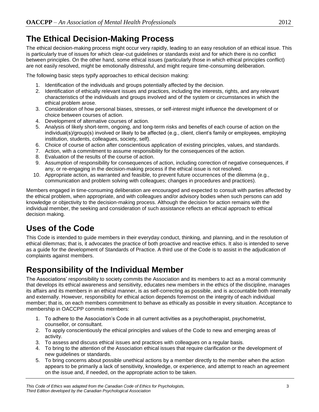### <span id="page-3-0"></span>**The Ethical Decision-Making Process**

The ethical decision-making process might occur very rapidly, leading to an easy resolution of an ethical issue. This is particularly true of issues for which clear-cut guidelines or standards exist and for which there is no conflict between principles. On the other hand, some ethical issues (particularly those in which ethical principles conflict) are not easily resolved, might be emotionally distressful, and might require time-consuming deliberation.

The following basic steps typify approaches to ethical decision making:

- 1. Identification of the individuals and groups potentially affected by the decision.
- 2. Identification of ethically relevant issues and practices, including the interests, rights, and any relevant characteristics of the individuals and groups involved and of the system or circumstances in which the ethical problem arose.
- 3. Consideration of how personal biases, stresses, or self-interest might influence the development of or choice between courses of action.
- 4. Development of alternative courses of action.
- 5. Analysis of likely short-term, ongoing, and long-term risks and benefits of each course of action on the individual(s)/group(s) involved or likely to be affected (e.g., client, client's family or employees, employing institution, students, colleagues, society, self).
- 6. Choice of course of action after conscientious application of existing principles, values, and standards.
- 7. Action, with a commitment to assume responsibility for the consequences of the action.
- 8. Evaluation of the results of the course of action.
- 9. Assumption of responsibility for consequences of action, including correction of negative consequences, if any, or re-engaging in the decision-making process if the ethical issue is not resolved.
- 10. Appropriate action, as warranted and feasible, to prevent future occurrences of the dilemma (e.g., communication and problem solving with colleagues; changes in procedures and practices).

Members engaged in time-consuming deliberation are encouraged and expected to consult with parties affected by the ethical problem, when appropriate, and with colleagues and/or advisory bodies when such persons can add knowledge or objectivity to the decision-making process. Although the decision for action remains with the individual member, the seeking and consideration of such assistance reflects an ethical approach to ethical decision making.

### <span id="page-3-1"></span>**Uses of the Code**

This Code is intended to guide members in their everyday conduct, thinking, and planning, and in the resolution of ethical dilemmas; that is, it advocates the practice of both proactive and reactive ethics. It also is intended to serve as a guide for the development of Standards of Practice. A third use of the Code is to assist in the adjudication of complaints against members.

### <span id="page-3-2"></span>**Responsibility of the Individual Member**

The Associations' responsibility to society commits the Association and its members to act as a moral community that develops its ethical awareness and sensitivity, educates new members in the ethics of the discipline, manages its affairs and its members in an ethical manner, is as self-correcting as possible, and is accountable both internally and externally. However, responsibility for ethical action depends foremost on the integrity of each individual member; that is, on each members commitment to behave as ethically as possible in every situation. Acceptance to membership in OACCPP commits members:

- 1. To adhere to the Association's Code in all current activities as a psychotherapist, psychometrist, counsellor, or consultant.
- 2. To apply conscientiously the ethical principles and values of the Code to new and emerging areas of activity.
- 3. To assess and discuss ethical issues and practices with colleagues on a regular basis.
- 4. To bring to the attention of the Association ethical issues that require clarification or the development of new guidelines or standards.
- 5. To bring concerns about possible unethical actions by a member directly to the member when the action appears to be primarily a lack of sensitivity, knowledge, or experience, and attempt to reach an agreement on the issue and, if needed, on the appropriate action to be taken.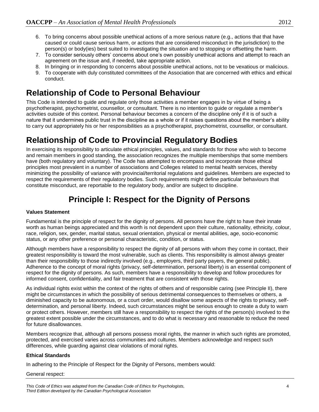- 6. To bring concerns about possible unethical actions of a more serious nature (e.g., actions that that have caused or could cause serious harm, or actions that are considered misconduct in the jurisdiction) to the person(s) or body(ies) best suited to investigating the situation and to stopping or offsetting the harm.
- 7. To consider seriously others' concerns about one's own possibly unethical actions and attempt to reach an agreement on the issue and, if needed, take appropriate action.
- 8. In bringing or in responding to concerns about possible unethical actions, not to be vexatious or malicious.
- 9. To cooperate with duly constituted committees of the Association that are concerned with ethics and ethical conduct.

### <span id="page-4-0"></span>**Relationship of Code to Personal Behaviour**

This Code is intended to guide and regulate only those activities a member engages in by virtue of being a psychotherapist, psychometrist, counsellor, or consultant. There is no intention to guide or regulate a member's activities outside of this context. Personal behaviour becomes a concern of the discipline only if it is of such a nature that it undermines public trust in the discipline as a whole or if it raises questions about the member's ability to carry out appropriately his or her responsibilities as a psychotherapist, psychometrist, counsellor, or consultant.

### <span id="page-4-1"></span>**Relationship of Code to Provincial Regulatory Bodies**

In exercising its responsibility to articulate ethical principles, values, and standards for those who wish to become and remain members in good standing, the association recognizes the multiple memberships that some members have (both regulatory and voluntary). The Code has attempted to encompass and incorporate those ethical principles most prevalent in a number of associations and Colleges related to mental health services, thereby minimizing the possibility of variance with provincial/territorial regulations and guidelines. Members are expected to respect the requirements of their regulatory bodies. Such requirements might define particular behaviours that constitute misconduct, are reportable to the regulatory body, and/or are subject to discipline.

### **Principle I: Respect for the Dignity of Persons**

#### <span id="page-4-2"></span>**Values Statement**

Fundamental is the principle of respect for the dignity of persons. All persons have the right to have their innate worth as human beings appreciated and this worth is not dependent upon their culture, nationality, ethnicity, colour, race, religion, sex, gender, marital status, sexual orientation, physical or mental abilities, age, socio-economic status, or any other preference or personal characteristic, condition, or status.

Although members have a responsibility to respect the dignity of all persons with whom they come in contact, their greatest responsibility is toward the most vulnerable, such as clients. This responsibility is almost always greater than their responsibility to those indirectly involved (e.g., employers, third party payers, the general public). Adherence to the concept of moral rights (privacy, self-determination, personal liberty) is an essential component of respect for the dignity of persons. As such, members have a responsibility to develop and follow procedures for informed consent, confidentiality, and fair treatment that are consistent with those rights.

As individual rights exist within the context of the rights of others and of responsible caring (see Principle II), there might be circumstances in which the possibility of serious detrimental consequences to themselves or others, a diminished capacity to be autonomous, or a court order, would disallow some aspects of the rights to privacy, selfdetermination, and personal liberty. Indeed, such circumstances might be serious enough to create a duty to warn or protect others. However, members still have a responsibility to respect the rights of the person(s) involved to the greatest extent possible under the circumstances, and to do what is necessary and reasonable to reduce the need for future disallowances.

Members recognize that, although all persons possess moral rights, the manner in which such rights are promoted, protected, and exercised varies across communities and cultures. Members acknowledge and respect such differences, while guarding against clear violations of moral rights.

#### **Ethical Standards**

In adhering to the Principle of Respect for the Dignity of Persons, members would:

#### General respect: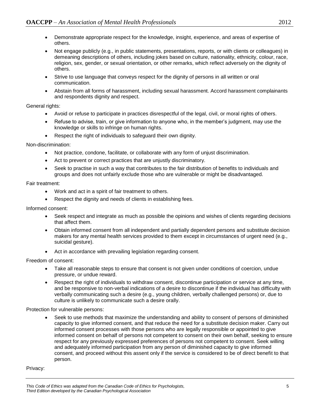- Demonstrate appropriate respect for the knowledge, insight, experience, and areas of expertise of others.
- Not engage publicly (e.g., in public statements, presentations, reports, or with clients or colleagues) in demeaning descriptions of others, including jokes based on culture, nationality, ethnicity, colour, race, religion, sex, gender, or sexual orientation, or other remarks, which reflect adversely on the dignity of others.
- Strive to use language that conveys respect for the dignity of persons in all written or oral communication.
- Abstain from all forms of harassment, including sexual harassment. Accord harassment complainants and respondents dignity and respect.

#### General rights:

- Avoid or refuse to participate in practices disrespectful of the legal, civil, or moral rights of others.
- Refuse to advise, train, or give information to anyone who, in the member's judgment, may use the knowledge or skills to infringe on human rights.
- Respect the right of individuals to safeguard their own dignity.

#### Non-discrimination:

- Not practice, condone, facilitate, or collaborate with any form of unjust discrimination.
- Act to prevent or correct practices that are unjustly discriminatory.
- Seek to practise in such a way that contributes to the fair distribution of benefits to individuals and groups and does not unfairly exclude those who are vulnerable or might be disadvantaged.

#### Fair treatment:

- Work and act in a spirit of fair treatment to others.
- Respect the dignity and needs of clients in establishing fees.

#### Informed consent:

- Seek respect and integrate as much as possible the opinions and wishes of clients regarding decisions that affect them.
- Obtain informed consent from all independent and partially dependent persons and substitute decision makers for any mental health services provided to them except in circumstances of urgent need (e.g., suicidal gesture).
- Act in accordance with prevailing legislation regarding consent.

#### Freedom of consent:

- Take all reasonable steps to ensure that consent is not given under conditions of coercion, undue pressure, or undue reward.
- Respect the right of individuals to withdraw consent, discontinue participation or service at any time, and be responsive to non-verbal indications of a desire to discontinue if the individual has difficulty with verbally communicating such a desire (e.g., young children, verbally challenged persons) or, due to culture is unlikely to communicate such a desire orally.

#### Protection for vulnerable persons:

 Seek to use methods that maximize the understanding and ability to consent of persons of diminished capacity to give informed consent, and that reduce the need for a substitute decision maker. Carry out informed consent processes with those persons who are legally responsible or appointed to give informed consent on behalf of persons not competent to consent on their own behalf, seeking to ensure respect for any previously expressed preferences of persons not competent to consent. Seek willing and adequately informed participation from any person of diminished capacity to give informed consent, and proceed without this assent only if the service is considered to be of direct benefit to that person.

#### Privacy: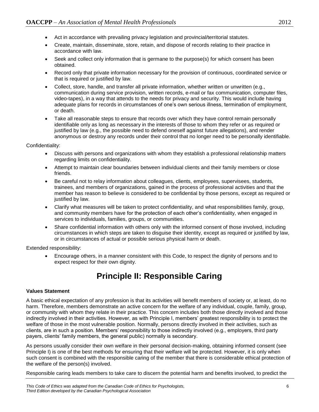- Act in accordance with prevailing privacy legislation and provincial/territorial statutes.
- Create, maintain, disseminate, store, retain, and dispose of records relating to their practice in accordance with law.
- Seek and collect only information that is germane to the purpose(s) for which consent has been obtained.
- Record only that private information necessary for the provision of continuous, coordinated service or that is required or justified by law.
- Collect, store, handle, and transfer all private information, whether written or unwritten (e.g., communication during service provision, written records, e-mail or fax communication, computer files, video-tapes), in a way that attends to the needs for privacy and security. This would include having adequate plans for records in circumstances of one's own serious illness, termination of employment, or death.
- Take all reasonable steps to ensure that records over which they have control remain personally identifiable only as long as necessary in the interests of those to whom they refer or as required or justified by law (e.g., the possible need to defend oneself against future allegations), and render anonymous or destroy any records under their control that no longer need to be personally identifiable.

Confidentiality:

- Discuss with persons and organizations with whom they establish a professional relationship matters regarding limits on confidentiality.
- Attempt to maintain clear boundaries between individual clients and their family members or close friends.
- Be careful not to relay information about colleagues, clients, employees, supervisees, students, trainees, and members of organizations, gained in the process of professional activities and that the member has reason to believe is considered to be confidential by those persons, except as required or justified by law.
- Clarify what measures will be taken to protect confidentiality, and what responsibilities family, group, and community members have for the protection of each other's confidentiality, when engaged in services to individuals, families, groups, or communities.
- Share confidential information with others only with the informed consent of those involved, including circumstances in which steps are taken to disguise their identity, except as required or justified by law, or in circumstances of actual or possible serious physical harm or death.

Extended responsibility:

 Encourage others, in a manner consistent with this Code, to respect the dignity of persons and to expect respect for their own dignity.

### **Principle II: Responsible Caring**

#### <span id="page-6-0"></span>**Values Statement**

A basic ethical expectation of any profession is that its activities will benefit members of society or, at least, do no harm. Therefore, members demonstrate an active concern for the welfare of any individual, couple, family, group, or community with whom they relate in their practice. This concern includes both those directly involved and those indirectly involved in their activities. However, as with Principle I, members' greatest responsibility is to protect the welfare of those in the most vulnerable position. Normally, persons directly involved in their activities, such as clients, are in such a position. Members' responsibility to those indirectly involved (e.g., employers, third party payers, clients' family members, the general public) normally is secondary.

As persons usually consider their own welfare in their personal decision-making, obtaining informed consent (see Principle I) is one of the best methods for ensuring that their welfare will be protected. However, it is only when such consent is combined with the responsible caring of the member that there is considerable ethical protection of the welfare of the person(s) involved.

Responsible caring leads members to take care to discern the potential harm and benefits involved, to predict the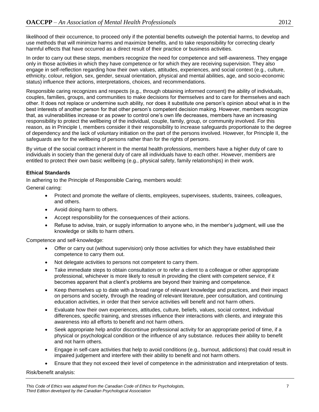likelihood of their occurrence, to proceed only if the potential benefits outweigh the potential harms, to develop and use methods that will minimize harms and maximize benefits, and to take responsibility for correcting clearly harmful effects that have occurred as a direct result of their practice or business activities.

In order to carry out these steps, members recognize the need for competence and self-awareness. They engage only in those activities in which they have competence or for which they are receiving supervision. They also engage in self-reflection regarding how their own values, attitudes, experiences, and social context (e.g., culture, ethnicity, colour, religion, sex, gender, sexual orientation, physical and mental abilities, age, and socio-economic status) influence their actions, interpretations, choices, and recommendations.

Responsible caring recognizes and respects (e.g., through obtaining informed consent) the ability of individuals, couples, families, groups, and communities to make decisions for themselves and to care for themselves and each other. It does not replace or undermine such ability, nor does it substitute one person's opinion about what is in the best interests of another person for that other person's competent decision making. However, members recognize that, as vulnerabilities increase or as power to control one's own life decreases, members have an increasing responsibility to protect the wellbeing of the individual, couple, family, group, or community involved. For this reason, as in Principle I, members consider it their responsibility to increase safeguards proportionate to the degree of dependency and the lack of voluntary initiation on the part of the persons involved. However, for Principle II, the safeguards are for the wellbeing of persons rather than for the rights of persons.

By virtue of the social contract inherent in the mental health professions, members have a higher duty of care to individuals in society than the general duty of care all individuals have to each other. However, members are entitled to protect their own basic wellbeing (e.g., physical safety, family relationships) in their work.

#### **Ethical Standards**

In adhering to the Principle of Responsible Caring, members would:

General caring:

- Protect and promote the welfare of clients, employees, supervisees, students, trainees, colleagues, and others.
- Avoid doing harm to others.
- Accept responsibility for the consequences of their actions.
- Refuse to advise, train, or supply information to anyone who, in the member's judgment, will use the knowledge or skills to harm others.

Competence and self-knowledge:

- Offer or carry out (without supervision) only those activities for which they have established their competence to carry them out.
- Not delegate activities to persons not competent to carry them.
- Take immediate steps to obtain consultation or to refer a client to a colleague or other appropriate professional, whichever is more likely to result in providing the client with competent service, if it becomes apparent that a client's problems are beyond their training and competence.
- Keep themselves up to date with a broad range of relevant knowledge and practices, and their impact on persons and society, through the reading of relevant literature, peer consultation, and continuing education activities, in order that their service activities will benefit and not harm others.
- Evaluate how their own experiences, attitudes, culture, beliefs, values, social context, individual differences, specific training, and stresses influence their interactions with clients, and integrate this awareness into all efforts to benefit and not harm others.
- Seek appropriate help and/or discontinue professional activity for an appropriate period of time, if a physical or psychological condition or the influence of any substance. reduces their ability to benefit and not harm others.
- Engage in self-care activities that help to avoid conditions (e.g., burnout, addictions) that could result in impaired judgement and interfere with their ability to benefit and not harm others.
- Ensure that they not exceed their level of competence in the administration and interpretation of tests.

Risk/benefit analysis: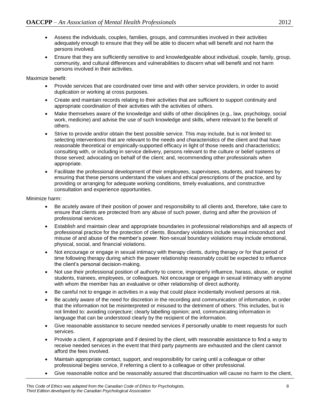- Assess the individuals, couples, families, groups, and communities involved in their activities adequately enough to ensure that they will be able to discern what will benefit and not harm the persons involved.
- Ensure that they are sufficiently sensitive to and knowledgeable about individual, couple, family, group, community, and cultural differences and vulnerabilities to discern what will benefit and not harm persons involved in their activities.

Maximize benefit:

- Provide services that are coordinated over time and with other service providers, in order to avoid duplication or working at cross purposes.
- Create and maintain records relating to their activities that are sufficient to support continuity and appropriate coordination of their activities with the activities of others.
- Make themselves aware of the knowledge and skills of other disciplines (e.g., law, psychology, social work, medicine) and advise the use of such knowledge and skills, where relevant to the benefit of others.
- Strive to provide and/or obtain the best possible service. This may include, but is not limited to: selecting interventions that are relevant to the needs and characteristics of the client and that have reasonable theoretical or empirically-supported efficacy in light of those needs and characteristics; consulting with, or including in service delivery, persons relevant to the culture or belief systems of those served; advocating on behalf of the client; and, recommending other professionals when appropriate.
- Facilitate the professional development of their employees, supervisees, students, and trainees by ensuring that these persons understand the values and ethical prescriptions of the practice, and by providing or arranging for adequate working conditions, timely evaluations, and constructive consultation and experience opportunities.

Minimize harm:

- Be acutely aware of their position of power and responsibility to all clients and, therefore, take care to ensure that clients are protected from any abuse of such power, during and after the provision of professional services.
- Establish and maintain clear and appropriate boundaries in professional relationships and all aspects of professional practice for the protection of clients. Boundary violations include sexual misconduct and misuse of and abuse of the member's power. Non-sexual boundary violations may include emotional, physical, social, and financial violations.
- Not encourage or engage in sexual intimacy with therapy clients, during therapy or for that period of time following therapy during which the power relationship reasonably could be expected to influence the client's personal decision-making.
- Not use their professional position of authority to coerce, improperly influence, harass, abuse, or exploit students, trainees, employees, or colleagues. Not encourage or engage in sexual intimacy with anyone with whom the member has an evaluative or other relationship of direct authority.
- Be careful not to engage in activities in a way that could place incidentally involved persons at risk.
- Be acutely aware of the need for discretion in the recording and communication of information, in order that the information not be misinterpreted or misused to the detriment of others. This includes, but is not limited to: avoiding conjecture; clearly labelling opinion; and, communicating information in language that can be understood clearly by the recipient of the information.
- Give reasonable assistance to secure needed services if personally unable to meet requests for such services.
- Provide a client, if appropriate and if desired by the client, with reasonable assistance to find a way to receive needed services in the event that third party payments are exhausted and the client cannot afford the fees involved.
- Maintain appropriate contact, support, and responsibility for caring until a colleague or other professional begins service, if referring a client to a colleague or other professional.
- Give reasonable notice and be reasonably assured that discontinuation will cause no harm to the client,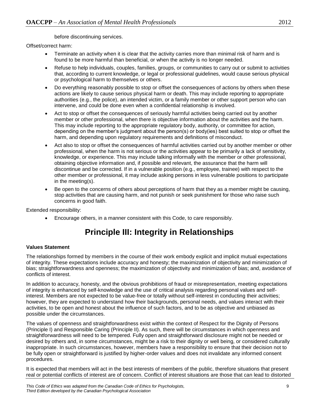before discontinuing services.

Offset/correct harm:

- Terminate an activity when it is clear that the activity carries more than minimal risk of harm and is found to be more harmful than beneficial, or when the activity is no longer needed.
- Refuse to help individuals, couples, families, groups, or communities to carry out or submit to activities that, according to current knowledge, or legal or professional guidelines, would cause serious physical or psychological harm to themselves or others.
- Do everything reasonably possible to stop or offset the consequences of actions by others when these actions are likely to cause serious physical harm or death. This may include reporting to appropriate authorities (e.g., the police), an intended victim, or a family member or other support person who can intervene, and could be done even when a confidential relationship is involved.
- Act to stop or offset the consequences of seriously harmful activities being carried out by another member or other professional, when there is objective information about the activities and the harm. This may include reporting to the appropriate regulatory body, authority, or committee for action, depending on the member's judgment about the person(s) or body(ies) best suited to stop or offset the harm, and depending upon regulatory requirements and definitions of misconduct.
- Act also to stop or offset the consequences of harmful activities carried out by another member or other professional, when the harm is not serious or the activities appear to be primarily a lack of sensitivity, knowledge, or experience. This may include talking informally with the member or other professional, obtaining objective information and, if possible and relevant, the assurance that the harm will discontinue and be corrected. If in a vulnerable position (e.g., employee, trainee) with respect to the other member or professional, it may include asking persons in less vulnerable positions to participate in the meeting(s).
- Be open to the concerns of others about perceptions of harm that they as a member might be causing, stop activities that are causing harm, and not punish or seek punishment for those who raise such concerns in good faith.

<span id="page-9-0"></span>Extended responsibility:

Encourage others, in a manner consistent with this Code, to care responsibly.

### **Principle III: Integrity in Relationships**

#### **Values Statement**

The relationships formed by members in the course of their work embody explicit and implicit mutual expectations of integrity. These expectations include accuracy and honesty; the maximization of objectivity and minimization of bias; straightforwardness and openness; the maximization of objectivity and minimization of bias; and, avoidance of conflicts of interest.

In addition to accuracy, honesty, and the obvious prohibitions of fraud or misrepresentation, meeting expectations of integrity is enhanced by self-knowledge and the use of critical analysis regarding personal values and selfinterest. Members are not expected to be value-free or totally without self-interest in conducting their activities; however, they are expected to understand how their backgrounds, personal needs, and values interact with their activities, to be open and honest about the influence of such factors, and to be as objective and unbiased as possible under the circumstances.

The values of openness and straightforwardness exist within the context of Respect for the Dignity of Persons (Principle I) and Responsible Caring (Principle II). As such, there will be circumstances in which openness and straightforwardness will need to be tempered. Fully open and straightforward disclosure might not be needed or desired by others and, in some circumstances, might be a risk to their dignity or well being, or considered culturally inappropriate. In such circumstances, however, members have a responsibility to ensure that their decision not to be fully open or straightforward is justified by higher-order values and does not invalidate any informed consent procedures.

It is expected that members will act in the best interests of members of the public, therefore situations that present real or potential conflicts of interest are of concern. Conflict of interest situations are those that can lead to distorted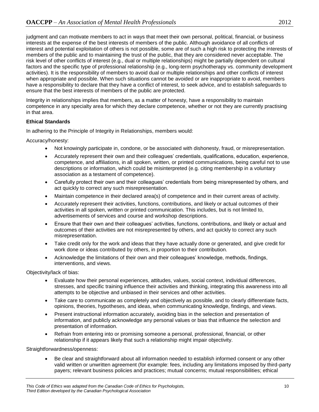judgment and can motivate members to act in ways that meet their own personal, political, financial, or business interests at the expense of the best interests of members of the public. Although avoidance of all conflicts of interest and potential exploitation of others is not possible, some are of such a high risk to protecting the interests of members of the public and to maintaining the trust of the public, that they are considered never acceptable. The risk level of other conflicts of interest (e.g., dual or multiple relationships) might be partially dependent on cultural factors and the specific type of professional relationship (e.g., long-term psychotherapy vs. community development activities). It is the responsibility of members to avoid dual or multiple relationships and other conflicts of interest when appropriate and possible. When such situations cannot be avoided or are inappropriate to avoid, members have a responsibility to declare that they have a conflict of interest, to seek advice, and to establish safeguards to ensure that the best interests of members of the public are protected.

Integrity in relationships implies that members, as a matter of honesty, have a responsibility to maintain competence in any specialty area for which they declare competence, whether or not they are currently practising in that area.

#### **Ethical Standards**

In adhering to the Principle of Integrity in Relationships, members would:

Accuracy/honesty:

- Not knowingly participate in, condone, or be associated with dishonesty, fraud, or misrepresentation.
- Accurately represent their own and their colleagues' credentials, qualifications, education, experience, competence, and affiliations, in all spoken, written, or printed communications, being careful not to use descriptions or information, which could be misinterpreted (e.g. citing membership in a voluntary association as a testament of competence).
- Carefully protect their own and their colleagues' credentials from being misrepresented by others, and act quickly to correct any such misrepresentation.
- Maintain competence in their declared area(s) of competence and in their current areas of activity.
- Accurately represent their activities, functions, contributions, and likely or actual outcomes of their activities in all spoken, written or printed communication. This includes, but is not limited to, advertisements of services and course and workshop descriptions.
- Ensure that their own and their colleagues' activities, functions, contributions, and likely or actual and outcomes of their activities are not misrepresented by others, and act quickly to correct any such misrepresentation.
- Take credit only for the work and ideas that they have actually done or generated, and give credit for work done or ideas contributed by others, in proportion to their contribution.
- Acknowledge the limitations of their own and their colleagues' knowledge, methods, findings, interventions, and views.

Objectivity/lack of bias:

- Evaluate how their personal experiences, attitudes, values, social context, individual differences, stresses, and specific training influence their activities and thinking, integrating this awareness into all attempts to be objective and unbiased in their services and other activities.
- Take care to communicate as completely and objectively as possible, and to clearly differentiate facts, opinions, theories, hypotheses, and ideas, when communicating knowledge, findings, and views.
- Present instructional information accurately, avoiding bias in the selection and presentation of information, and publicly acknowledge any personal values or bias that influence the selection and presentation of information.
- Refrain from entering into or promising someone a personal, professional, financial, or other relationship if it appears likely that such a relationship might impair objectivity.

Straightforwardness/openness:

 Be clear and straightforward about all information needed to establish informed consent or any other valid written or unwritten agreement (for example: fees, including any limitations imposed by third-party payers; relevant business policies and practices; mutual concerns; mutual responsibilities; ethical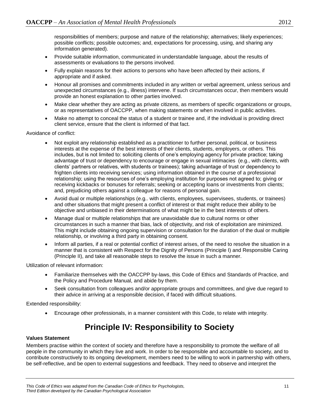responsibilities of members; purpose and nature of the relationship; alternatives; likely experiences; possible conflicts; possible outcomes; and, expectations for processing, using, and sharing any information generated).

- Provide suitable information, communicated in understandable language, about the results of assessments or evaluations to the persons involved.
- Fully explain reasons for their actions to persons who have been affected by their actions, if appropriate and if asked.
- Honour all promises and commitments included in any written or verbal agreement, unless serious and unexpected circumstances (e.g., illness) intervene. If such circumstances occur, then members would provide an honest explanation to other parties involved.
- Make clear whether they are acting as private citizens, as members of specific organizations or groups, or as representatives of OACCPP, when making statements or when involved in public activities.
- Make no attempt to conceal the status of a student or trainee and, if the individual is providing direct client service, ensure that the client is informed of that fact.

#### Avoidance of conflict:

- Not exploit any relationship established as a practitioner to further personal, political, or business interests at the expense of the best interests of their clients, students, employers, or others. This includes, but is not limited to: soliciting clients of one's employing agency for private practice; taking advantage of trust or dependency to encourage or engage in sexual intimacies (e.g., with clients, with clients' partners or relatives, with students or trainees); taking advantage of trust or dependency to frighten clients into receiving services; using information obtained in the course of a professional relationship; using the resources of one's employing institution for purposes not agreed to; giving or receiving kickbacks or bonuses for referrals; seeking or accepting loans or investments from clients; and, prejudicing others against a colleague for reasons of personal gain.
- Avoid dual or multiple relationships (e.g.. with clients, employees, supervisees, students, or trainees) and other situations that might present a conflict of interest or that might reduce their ability to be objective and unbiased in their determinations of what might be in the best interests of others.
- Manage dual or multiple relationships that are unavoidable due to cultural norms or other circumstances in such a manner that bias, lack of objectivity, and risk of exploitation are minimized. This might include obtaining ongoing supervision or consultation for the duration of the dual or multiple relationship, or involving a third party in obtaining consent.
- Inform all parties, if a real or potential conflict of interest arises, of the need to resolve the situation in a manner that is consistent with Respect for the Dignity of Persons (Principle I) and Responsible Caring (Principle II), and take all reasonable steps to resolve the issue in such a manner.

Utilization of relevant information:

- Familiarize themselves with the OACCPP by-laws, this Code of Ethics and Standards of Practice, and the Policy and Procedure Manual, and abide by them.
- Seek consultation from colleagues and/or appropriate groups and committees, and give due regard to their advice in arriving at a responsible decision, if faced with difficult situations.

<span id="page-11-0"></span>Extended responsibility:

Encourage other professionals, in a manner consistent with this Code, to relate with integrity.

### **Principle IV: Responsibility to Society**

#### **Values Statement**

Members practise within the context of society and therefore have a responsibility to promote the welfare of all people in the community in which they live and work. In order to be responsible and accountable to society, and to contribute constructively to its ongoing development, members need to be willing to work in partnership with others, be self-reflective, and be open to external suggestions and feedback. They need to observe and interpret the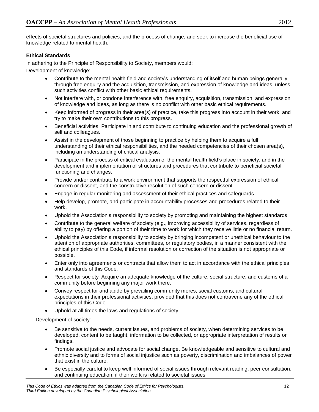effects of societal structures and policies, and the process of change, and seek to increase the beneficial use of knowledge related to mental health.

#### **Ethical Standards**

In adhering to the Principle of Responsibility to Society, members would:

Development of knowledge:

- Contribute to the mental health field and society's understanding of itself and human beings generally, through free enquiry and the acquisition, transmission, and expression of knowledge and ideas, unless such activities conflict with other basic ethical requirements.
- Not interfere with, or condone interference with, free enquiry, acquisition, transmission, and expression of knowledge and ideas, as long as there is no conflict with other basic ethical requirements.
- Keep informed of progress in their area(s) of practice, take this progress into account in their work, and try to make their own contributions to this progress.
- Beneficial activities Participate in and contribute to continuing education and the professional growth of self and colleagues.
- Assist in the development of those beginning to practice by helping them to acquire a full understanding of their ethical responsibilities, and the needed competencies of their chosen area(s), including an understanding of critical analysis.
- Participate in the process of critical evaluation of the mental health field's place in society, and in the development and implementation of structures and procedures that contribute to beneficial societal functioning and changes.
- Provide and/or contribute to a work environment that supports the respectful expression of ethical concern or dissent, and the constructive resolution of such concern or dissent.
- Engage in regular monitoring and assessment of their ethical practices and safeguards.
- Help develop, promote, and participate in accountability processes and procedures related to their work.
- Uphold the Association's responsibility to society by promoting and maintaining the highest standards.
- Contribute to the general welfare of society (e.g., improving accessibility of services, regardless of ability to pay) by offering a portion of their time to work for which they receive little or no financial return.
- Uphold the Association's responsibility to society by bringing incompetent or unethical behaviour to the attention of appropriate authorities, committees, or regulatory bodies, in a manner consistent with the ethical principles of this Code, if informal resolution or correction of the situation is not appropriate or possible.
- Enter only into agreements or contracts that allow them to act in accordance with the ethical principles and standards of this Code.
- Respect for society Acquire an adequate knowledge of the culture, social structure, and customs of a community before beginning any major work there.
- Convey respect for and abide by prevailing community mores, social customs, and cultural expectations in their professional activities, provided that this does not contravene any of the ethical principles of this Code.
- Uphold at all times the laws and regulations of society.

Development of society:

- Be sensitive to the needs, current issues, and problems of society, when determining services to be developed, content to be taught, information to be collected, or appropriate interpretation of results or findings.
- Promote social justice and advocate for social change. Be knowledgeable and sensitive to cultural and ethnic diversity and to forms of social injustice such as poverty, discrimination and imbalances of power that exist in the culture.
- Be especially careful to keep well informed of social issues through relevant reading, peer consultation, and continuing education, if their work is related to societal issues.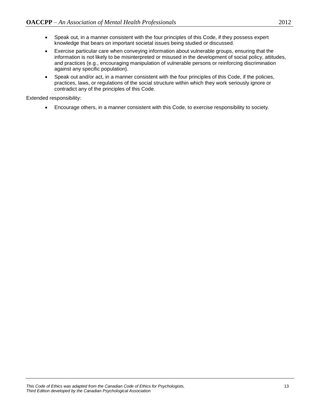- Speak out, in a manner consistent with the four principles of this Code, if they possess expert knowledge that bears on important societal issues being studied or discussed.
- Exercise particular care when conveying information about vulnerable groups, ensuring that the information is not likely to be misinterpreted or misused in the development of social policy, attitudes, and practices (e.g., encouraging manipulation of vulnerable persons or reinforcing discrimination against any specific population).
- Speak out and/or act, in a manner consistent with the four principles of this Code, if the policies, practices, laws, or regulations of the social structure within which they work seriously ignore or contradict any of the principles of this Code.

Extended responsibility:

<span id="page-13-0"></span>Encourage others, in a manner consistent with this Code, to exercise responsibility to society.